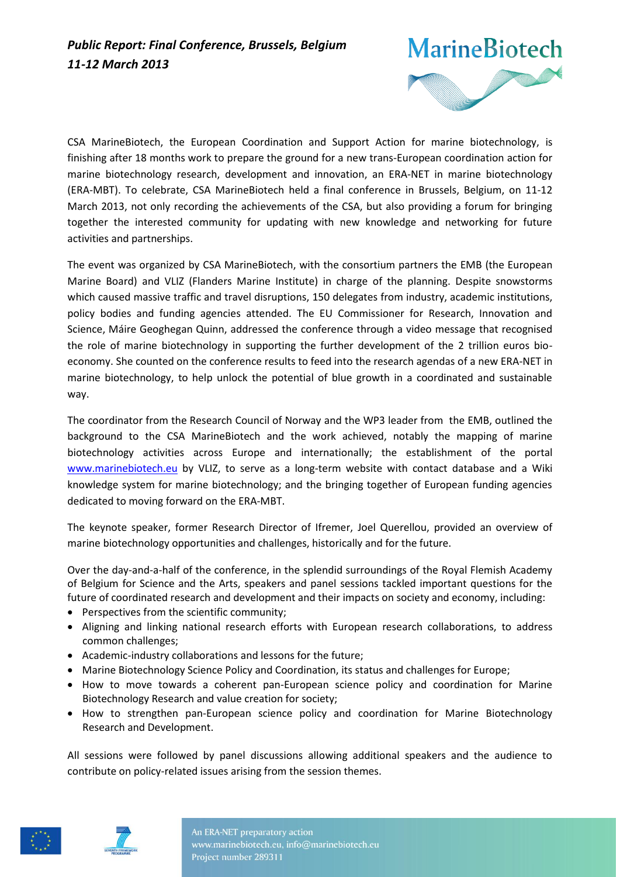

CSA MarineBiotech, the European Coordination and Support Action for marine biotechnology, is finishing after 18 months work to prepare the ground for a new trans-European coordination action for marine biotechnology research, development and innovation, an ERA-NET in marine biotechnology (ERA-MBT). To celebrate, CSA MarineBiotech held a final conference in Brussels, Belgium, on 11-12 March 2013, not only recording the achievements of the CSA, but also providing a forum for bringing together the interested community for updating with new knowledge and networking for future activities and partnerships.

The event was organized by CSA MarineBiotech, with the consortium partners the EMB (the European Marine Board) and VLIZ (Flanders Marine Institute) in charge of the planning. Despite snowstorms which caused massive traffic and travel disruptions, 150 delegates from industry, academic institutions, policy bodies and funding agencies attended. The EU Commissioner for Research, Innovation and Science, Máire Geoghegan Quinn, addressed the conference through a video message that recognised the role of marine biotechnology in supporting the further development of the 2 trillion euros bioeconomy. She counted on the conference results to feed into the research agendas of a new ERA-NET in marine biotechnology, to help unlock the potential of blue growth in a coordinated and sustainable way.

The coordinator from the Research Council of Norway and the WP3 leader from the EMB, outlined the background to the CSA MarineBiotech and the work achieved, notably the mapping of marine biotechnology activities across Europe and internationally; the establishment of the portal [www.marinebiotech.eu](http://www.marinebiotech.eu/) by VLIZ, to serve as a long-term website with contact database and a Wiki knowledge system for marine biotechnology; and the bringing together of European funding agencies dedicated to moving forward on the ERA-MBT.

The keynote speaker, former Research Director of Ifremer, Joel Querellou, provided an overview of marine biotechnology opportunities and challenges, historically and for the future.

Over the day-and-a-half of the conference, in the splendid surroundings of the Royal Flemish Academy of Belgium for Science and the Arts, speakers and panel sessions tackled important questions for the future of coordinated research and development and their impacts on society and economy, including:

- Perspectives from the scientific community;
- Aligning and linking national research efforts with European research collaborations, to address common challenges;
- Academic-industry collaborations and lessons for the future;
- Marine Biotechnology Science Policy and Coordination, its status and challenges for Europe;
- How to move towards a coherent pan-European science policy and coordination for Marine Biotechnology Research and value creation for society;
- How to strengthen pan-European science policy and coordination for Marine Biotechnology Research and Development.

All sessions were followed by panel discussions allowing additional speakers and the audience to contribute on policy-related issues arising from the session themes.